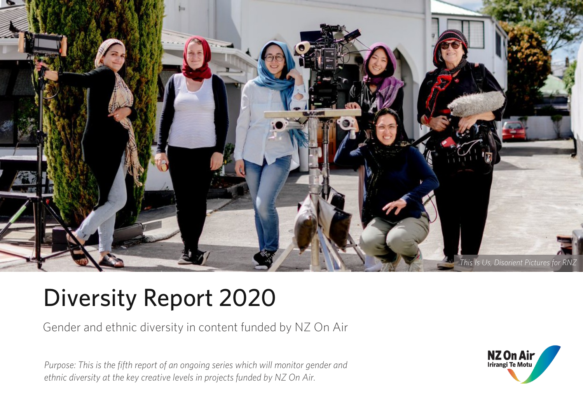

# Diversity Report 2020

Gender and ethnic diversity in content funded by NZ On Air

*Purpose: This is the fifth report of an ongoing series which will monitor gender and ethnic diversity at the key creative levels in projects funded by NZ On Air.*

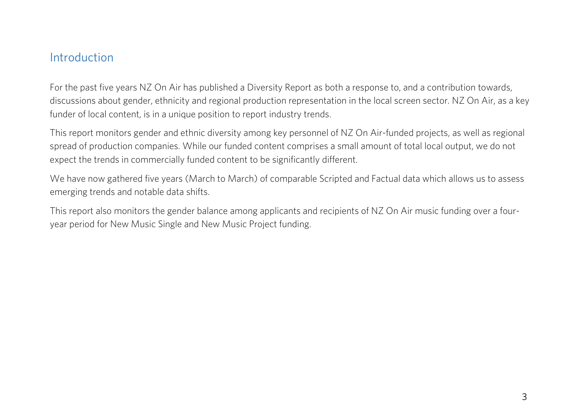#### <span id="page-2-0"></span>Introduction

For the past five years NZ On Air has published a Diversity Report as both a response to, and a contribution towards, discussions about gender, ethnicity and regional production representation in the local screen sector. NZ On Air, as a key funder of local content, is in a unique position to report industry trends.

This report monitors gender and ethnic diversity among key personnel of NZ On Air-funded projects, as well as regional spread of production companies. While our funded content comprises a small amount of total local output, we do not expect the trends in commercially funded content to be significantly different.

We have now gathered five years (March to March) of comparable Scripted and Factual data which allows us to assess emerging trends and notable data shifts.

This report also monitors the gender balance among applicants and recipients of NZ On Air music funding over a fouryear period for New Music Single and New Music Project funding.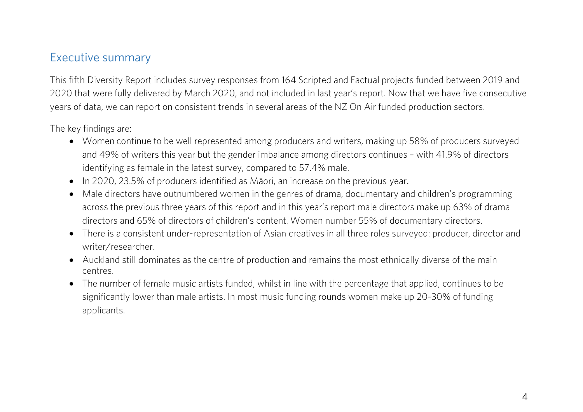#### <span id="page-3-0"></span>Executive summary

This fifth Diversity Report includes survey responses from 164 Scripted and Factual projects funded between 2019 and 2020 that were fully delivered by March 2020, and not included in last year's report. Now that we have five consecutive years of data, we can report on consistent trends in several areas of the NZ On Air funded production sectors.

The key findings are:

- Women continue to be well represented among producers and writers, making up 58% of producers surveyed and 49% of writers this year but the gender imbalance among directors continues – with 41.9% of directors identifying as female in the latest survey, compared to 57.4% male.
- In 2020, 23.5% of producers identified as Māori, an increase on the previous year.
- Male directors have outnumbered women in the genres of drama, documentary and children's programming across the previous three years of this report and in this year's report male directors make up 63% of drama directors and 65% of directors of children's content. Women number 55% of documentary directors.
- There is a consistent under-representation of Asian creatives in all three roles surveyed: producer, director and writer/researcher.
- Auckland still dominates as the centre of production and remains the most ethnically diverse of the main centres.
- The number of female music artists funded, whilst in line with the percentage that applied, continues to be significantly lower than male artists. In most music funding rounds women make up 20-30% of funding applicants.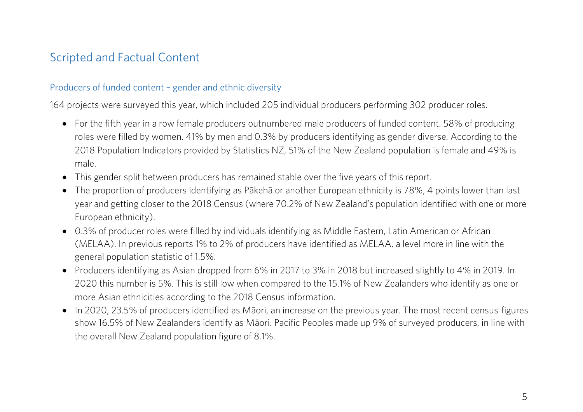### <span id="page-4-0"></span>Scripted and Factual Content

#### Producers of funded content – gender and ethnic diversity

164 projects were surveyed this year, which included 205 individual producers performing 302 producer roles.

- For the fifth year in a row female producers outnumbered male producers of funded content. 58% of producing roles were filled by women, 41% by men and 0.3% by producers identifying as gender diverse. According to the 2018 Population Indicators provided by Statistics NZ, 51% of the New Zealand population is female and 49% is male.
- This gender split between producers has remained stable over the five years of this report.
- The proportion of producers identifying as Pākehā or another European ethnicity is 78%, 4 points lower than last year and getting closer to the 2018 Census (where 70.2% of New Zealand's population identified with one or more European ethnicity).
- 0.3% of producer roles were filled by individuals identifying as Middle Eastern, Latin American or African (MELAA). In previous reports 1% to 2% of producers have identified as MELAA, a level more in line with the general population statistic of 1.5%.
- Producers identifying as Asian dropped from 6% in 2017 to 3% in 2018 but increased slightly to 4% in 2019. In 2020 this number is 5%. This is still low when compared to the 15.1% of New Zealanders who identify as one or more Asian ethnicities according to the 2018 Census information.
- In 2020, 23.5% of producers identified as Māori, an increase on the previous year. The most recent census figures show 16.5% of New Zealanders identify as Māori. Pacific Peoples made up 9% of surveyed producers, in line with the overall New Zealand population figure of 8.1%.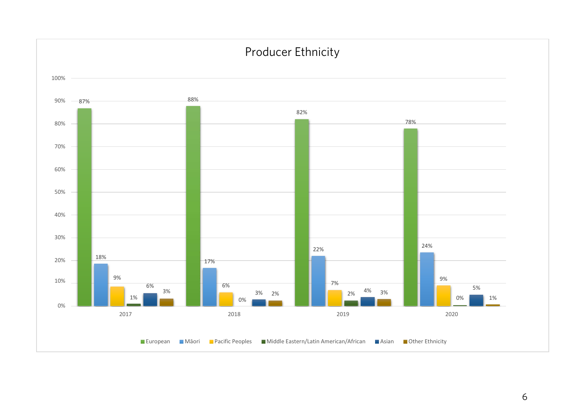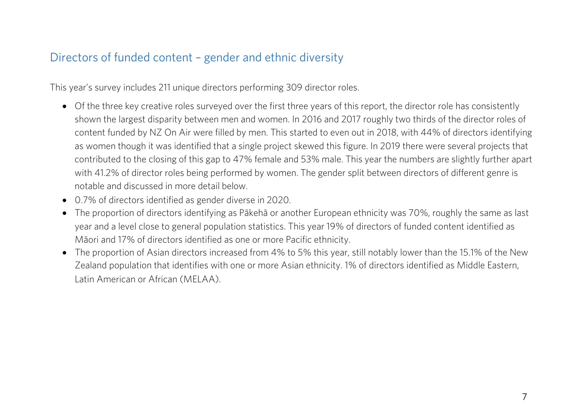#### <span id="page-6-0"></span>Directors of funded content – gender and ethnic diversity

This year's survey includes 211 unique directors performing 309 director roles.

- Of the three key creative roles surveyed over the first three years of this report, the director role has consistently shown the largest disparity between men and women. In 2016 and 2017 roughly two thirds of the director roles of content funded by NZ On Air were filled by men. This started to even out in 2018, with 44% of directors identifying as women though it was identified that a single project skewed this figure. In 2019 there were several projects that contributed to the closing of this gap to 47% female and 53% male. This year the numbers are slightly further apart with 41.2% of director roles being performed by women. The gender split between directors of different genre is notable and discussed in more detail below.
- 0.7% of directors identified as gender diverse in 2020.
- The proportion of directors identifying as Pākehā or another European ethnicity was 70%, roughly the same as last year and a level close to general population statistics. This year 19% of directors of funded content identified as Māori and 17% of directors identified as one or more Pacific ethnicity.
- The proportion of Asian directors increased from 4% to 5% this year, still notably lower than the 15.1% of the New Zealand population that identifies with one or more Asian ethnicity. 1% of directors identified as Middle Eastern, Latin American or African (MELAA).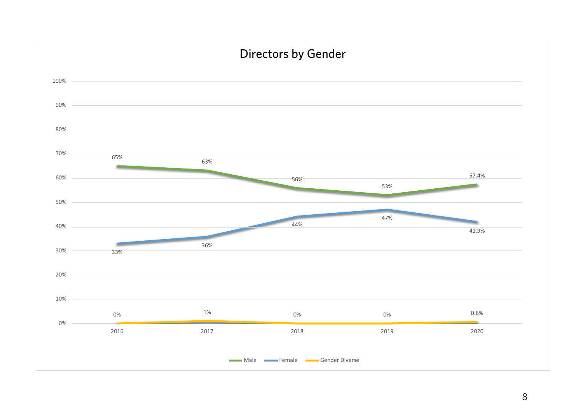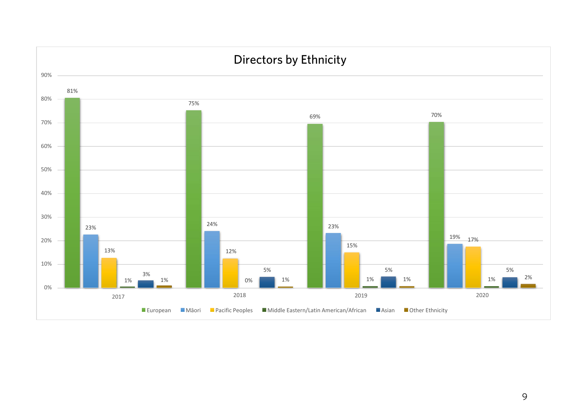

#### 9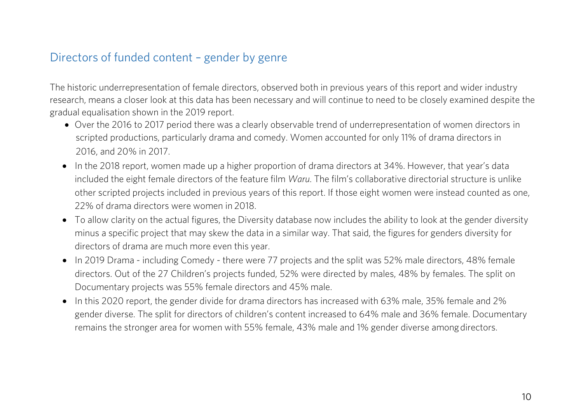#### <span id="page-9-0"></span>Directors of funded content – gender by genre

The historic underrepresentation of female directors, observed both in previous years of this report and wider industry research, means a closer look at this data has been necessary and will continue to need to be closely examined despite the gradual equalisation shown in the 2019 report.

- Over the 2016 to 2017 period there was a clearly observable trend of underrepresentation of women directors in scripted productions, particularly drama and comedy. Women accounted for only 11% of drama directors in 2016, and 20% in 2017.
- In the 2018 report, women made up a higher proportion of drama directors at 34%. However, that year's data included the eight female directors of the feature film *Waru*. The film's collaborative directorial structure is unlike other scripted projects included in previous years of this report. If those eight women were instead counted as one, 22% of drama directors were women in 2018.
- To allow clarity on the actual figures, the Diversity database now includes the ability to look at the gender diversity minus a specific project that may skew the data in a similar way. That said, the figures for genders diversity for directors of drama are much more even this year.
- In 2019 Drama including Comedy there were 77 projects and the split was 52% male directors, 48% female directors. Out of the 27 Children's projects funded, 52% were directed by males, 48% by females. The split on Documentary projects was 55% female directors and 45% male.
- In this 2020 report, the gender divide for drama directors has increased with 63% male, 35% female and 2% gender diverse. The split for directors of children's content increased to 64% male and 36% female. Documentary remains the stronger area for women with 55% female, 43% male and 1% gender diverse amongdirectors.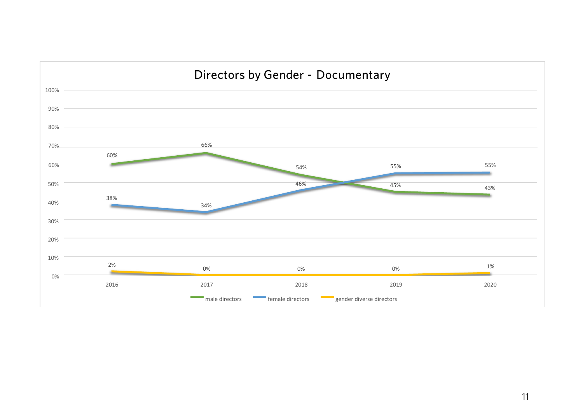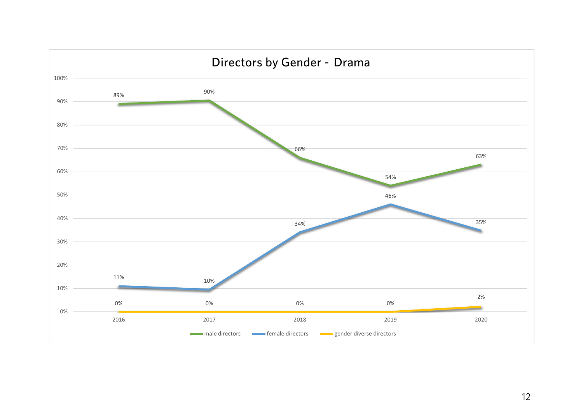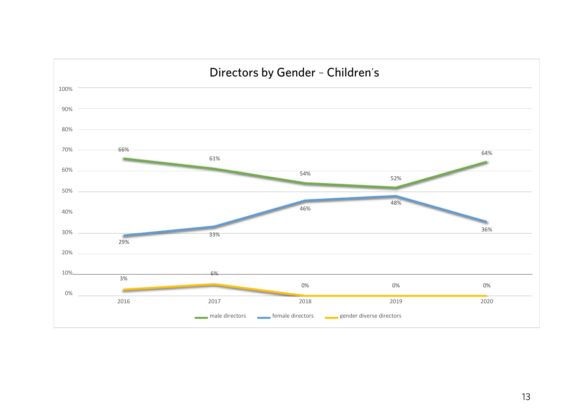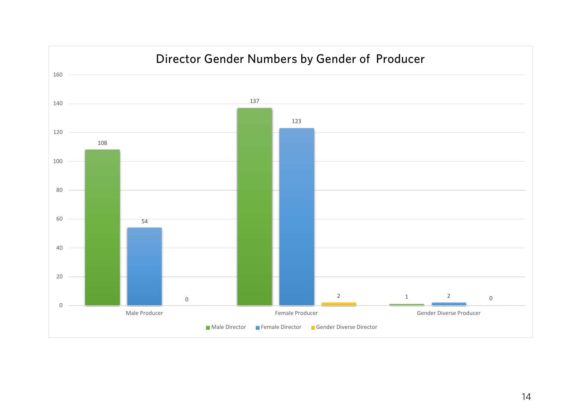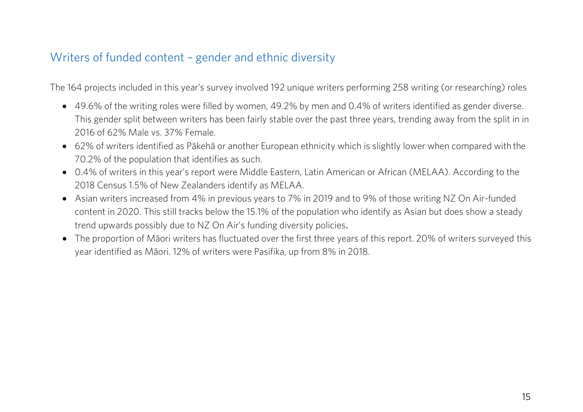#### <span id="page-14-0"></span>Writers of funded content – gender and ethnic diversity

The 164 projects included in this year's survey involved 192 unique writers performing 258 writing (or researching) roles

- 49.6% of the writing roles were filled by women, 49.2% by men and 0.4% of writers identified as gender diverse. This gender split between writers has been fairly stable over the past three years, trending away from the split in in 2016 of 62% Male vs. 37% Female.
- 62% of writers identified as Pākehā or another European ethnicity which is slightly lower when compared with the 70.2% of the population that identifies as such.
- 0.4% of writers in this year's report were Middle Eastern, Latin American or African (MELAA). According to the 2018 Census 1.5% of New Zealanders identify as MELAA.
- Asian writers increased from 4% in previous years to 7% in 2019 and to 9% of those writing NZ On Air-funded content in 2020. This still tracks below the 15.1% of the population who identify as Asian but does show a steady trend upwards possibly due to NZ On Air's funding diversity policies.
- The proportion of Māori writers has fluctuated over the first three years of this report. 20% of writers surveyed this year identified as Māori. 12% of writers were Pasifika, up from 8% in 2018.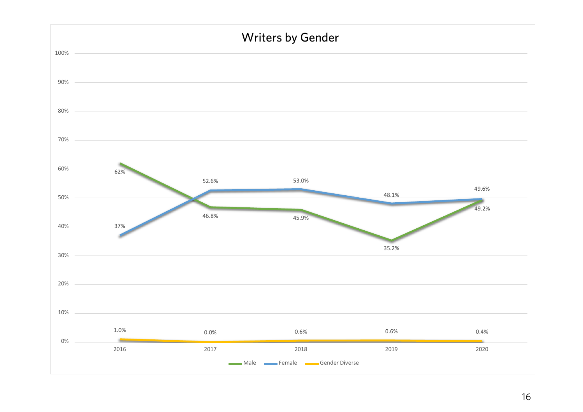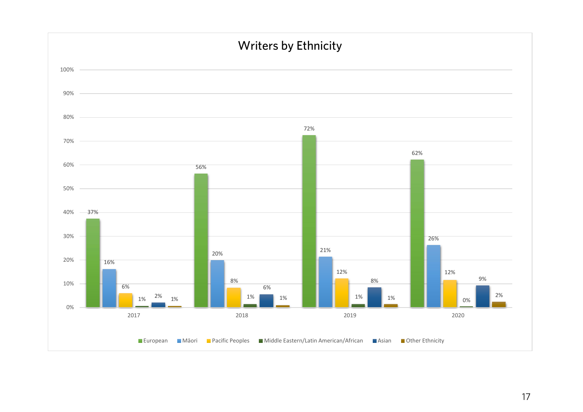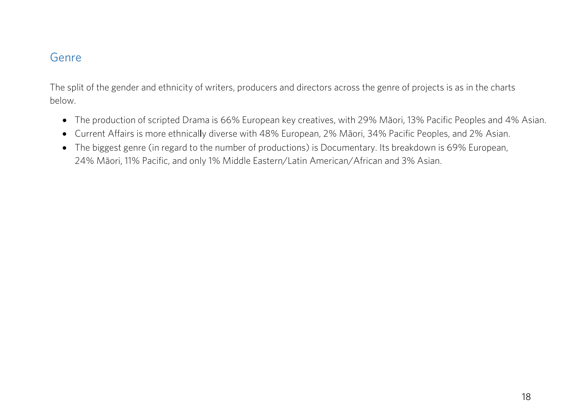#### <span id="page-17-0"></span>Genre

The split of the gender and ethnicity of writers, producers and directors across the genre of projects is as in the charts below.

- The production of scripted Drama is 66% European key creatives, with 29% Māori, 13% Pacific Peoples and 4% Asian.
- Current Affairs is more ethnically diverse with 48% European, 2% Māori, 34% Pacific Peoples, and 2% Asian.
- The biggest genre (in regard to the number of productions) is Documentary. Its breakdown is 69% European, 24% Māori, 11% Pacific, and only 1% Middle Eastern/Latin American/African and 3% Asian.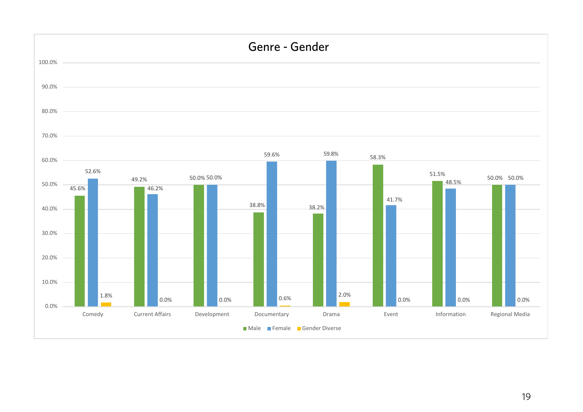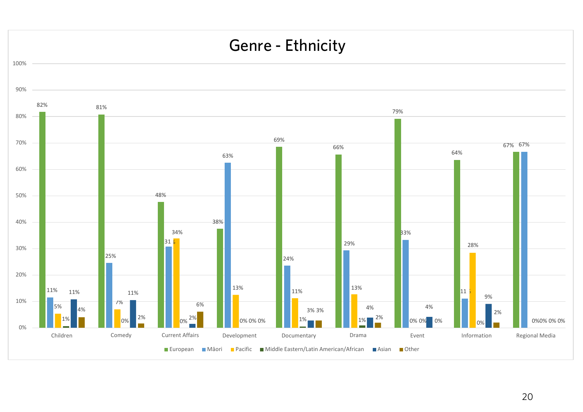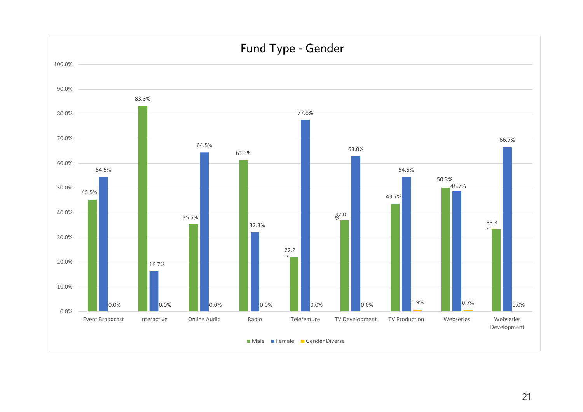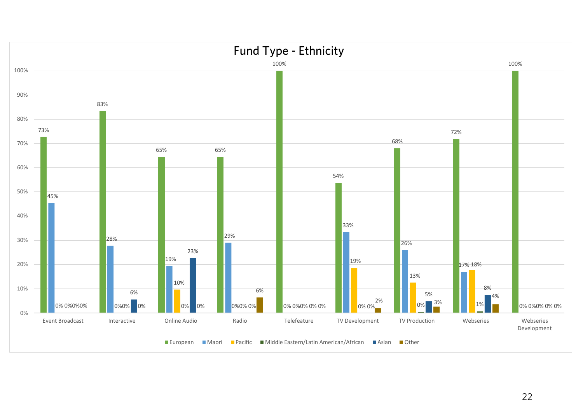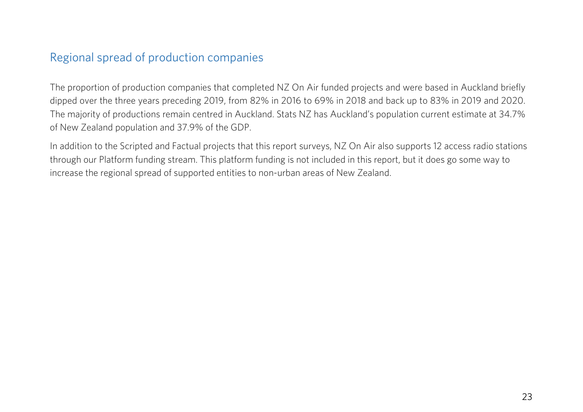#### <span id="page-22-0"></span>Regional spread of production companies

The proportion of production companies that completed NZ On Air funded projects and were based in Auckland briefly dipped over the three years preceding 2019, from 82% in 2016 to 69% in 2018 and back up to 83% in 2019 and 2020. The majority of productions remain centred in Auckland. Stats NZ has Auckland's population current estimate at 34.7% of New Zealand population and 37.9% of the GDP.

In addition to the Scripted and Factual projects that this report surveys, NZ On Air also supports 12 access radio stations through our Platform funding stream. This platform funding is not included in this report, but it does go some way to increase the regional spread of supported entities to non-urban areas of New Zealand.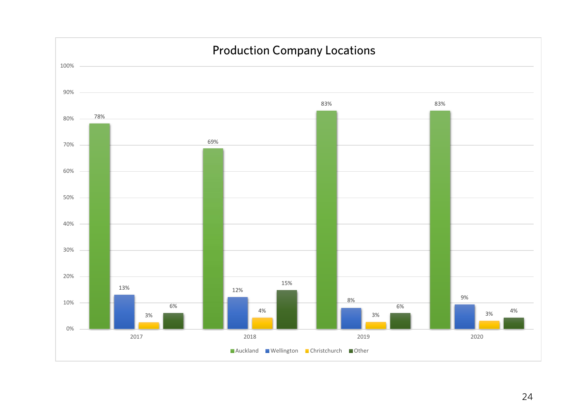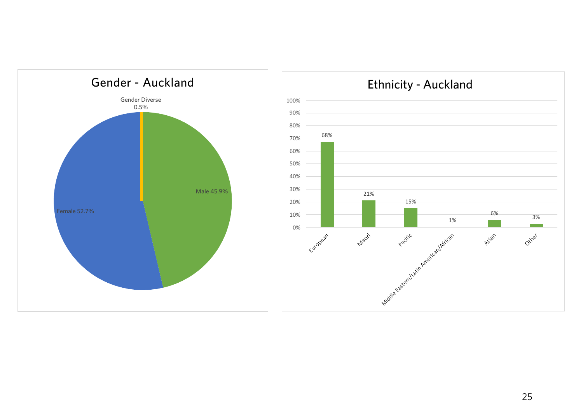



# 25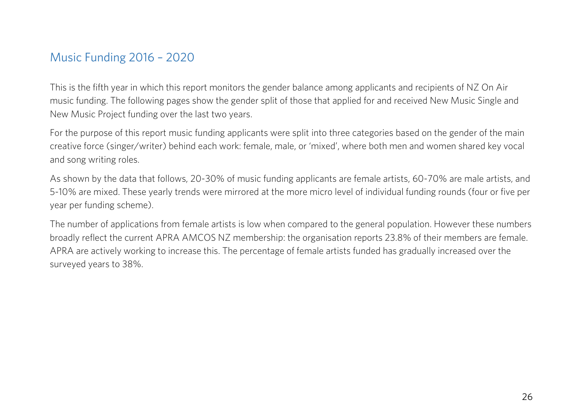### <span id="page-25-0"></span>Music Funding 2016 – 2020

This is the fifth year in which this report monitors the gender balance among applicants and recipients of NZ On Air music funding. The following pages show the gender split of those that applied for and received New Music Single and New Music Project funding over the last two years.

For the purpose of this report music funding applicants were split into three categories based on the gender of the main creative force (singer/writer) behind each work: female, male, or 'mixed', where both men and women shared key vocal and song writing roles.

As shown by the data that follows, 20-30% of music funding applicants are female artists, 60-70% are male artists, and 5-10% are mixed. These yearly trends were mirrored at the more micro level of individual funding rounds (four or five per year per funding scheme).

The number of applications from female artists is low when compared to the general population. However these numbers broadly reflect the current APRA AMCOS NZ membership: the organisation reports 23.8% of their members are female. APRA are actively working to increase this. The percentage of female artists funded has gradually increased over the surveyed years to 38%.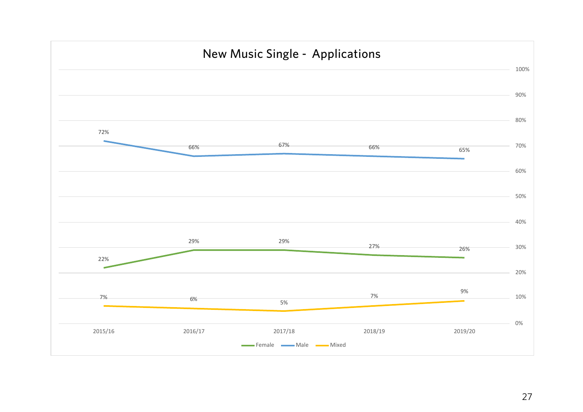<span id="page-26-0"></span>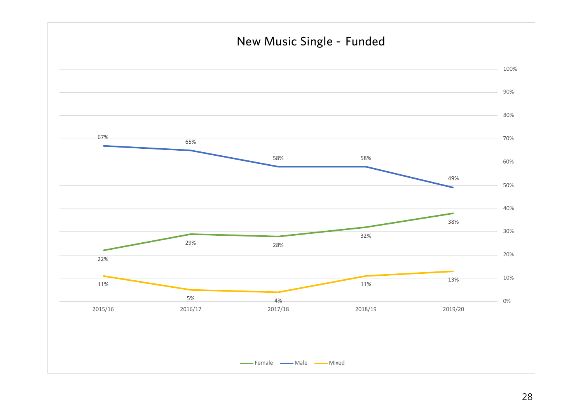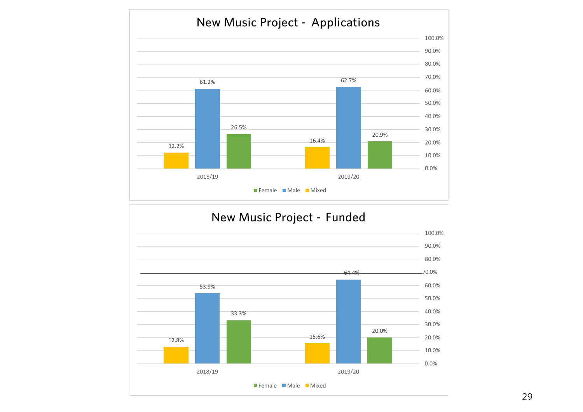

## New Music Project - Funded

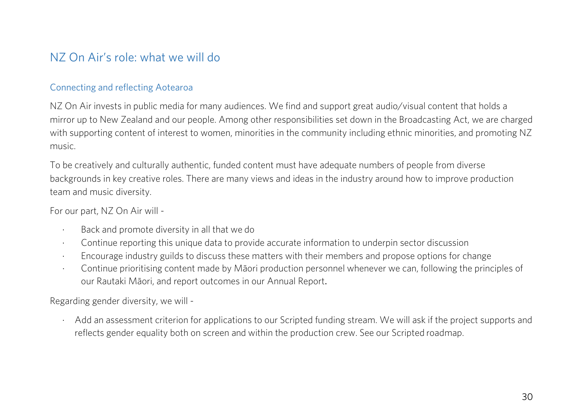## <span id="page-29-0"></span>NZ On Air's role: what we will do

#### Connecting and reflecting Aotearoa

NZ On Air invests in public media for many audiences. We find and support great audio/visual content that holds a mirror up to New Zealand and our people. Among other responsibilities set down in the Broadcasting Act, we are charged with supporting content of interest to women, minorities in the community including ethnic minorities, and promoting NZ music.

To be creatively and culturally authentic, funded content must have adequate numbers of people from diverse backgrounds in key creative roles. There are many views and ideas in the industry around how to improve production team and music diversity.

For our part, NZ On Air will -

- · Back and promote diversity in all that we do
- · Continue reporting this unique data to provide accurate information to underpin sector discussion
- · Encourage industry guilds to discuss these matters with their members and propose options for change
- · Continue prioritising content made by Māori production personnel whenever we can, following the principles of our Rautaki Māori, and report outcomes in our Annual Report.

Regarding gender diversity, we will -

· Add an assessment criterion for applications to our Scripted funding stream. We will ask if the project supports and reflects gender equality both on screen and within the production crew. See our Scripted roadmap.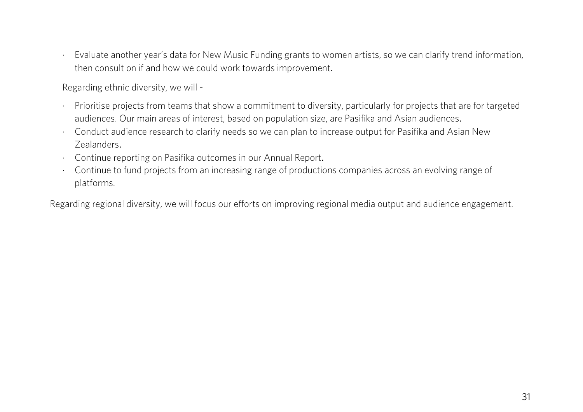Evaluate another year's data for New Music Funding grants to women artists, so we can clarify trend information, then consult on if and how we could work towards improvement.

Regarding ethnic diversity, we will -

- · Prioritise projects from teams that show a commitment to diversity, particularly for projects that are for targeted audiences. Our main areas of interest, based on population size, are Pasifika and Asian audiences.
- · Conduct audience research to clarify needs so we can plan to increase output for Pasifika and Asian New Zealanders.
- · Continue reporting on Pasifika outcomes in our Annual Report.
- · Continue to fund projects from an increasing range of productions companies across an evolving range of platforms.

Regarding regional diversity, we will focus our efforts on improving regional media output and audience engagement.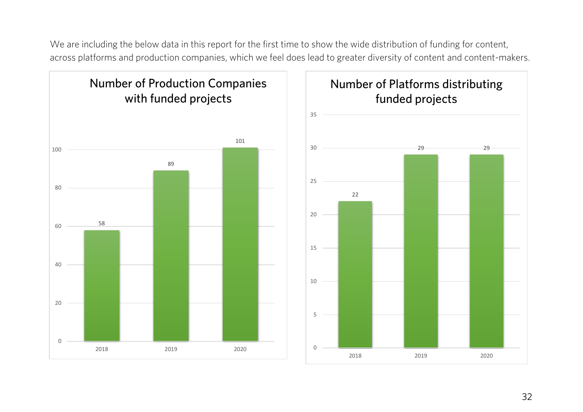We are including the below data in this report for the first time to show the wide distribution of funding for content, across platforms and production companies, which we feel does lead to greater diversity of content and content-makers.

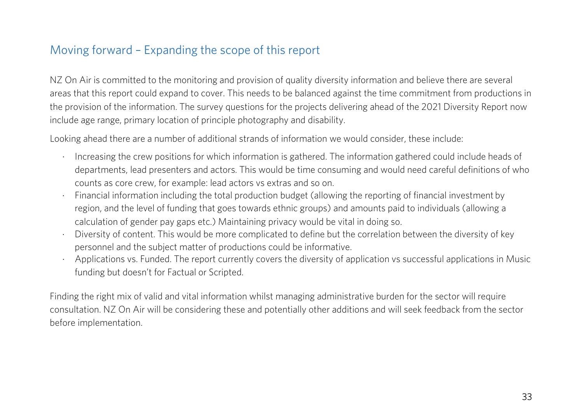# <span id="page-32-0"></span>Moving forward – Expanding the scope of this report

NZ On Air is committed to the monitoring and provision of quality diversity information and believe there are several areas that this report could expand to cover. This needs to be balanced against the time commitment from productions in the provision of the information. The survey questions for the projects delivering ahead of the 2021 Diversity Report now include age range, primary location of principle photography and disability.

Looking ahead there are a number of additional strands of information we would consider, these include:

- · Increasing the crew positions for which information is gathered. The information gathered could include heads of departments, lead presenters and actors. This would be time consuming and would need careful definitions of who counts as core crew, for example: lead actors vs extras and so on.
- · Financial information including the total production budget (allowing the reporting of financial investment by region, and the level of funding that goes towards ethnic groups) and amounts paid to individuals (allowing a calculation of gender pay gaps etc.) Maintaining privacy would be vital in doing so.
- Diversity of content. This would be more complicated to define but the correlation between the diversity of key personnel and the subject matter of productions could be informative.
- Applications vs. Funded. The report currently covers the diversity of application vs successful applications in Music funding but doesn't for Factual or Scripted.

Finding the right mix of valid and vital information whilst managing administrative burden for the sector will require consultation. NZ On Air will be considering these and potentially other additions and will seek feedback from the sector before implementation.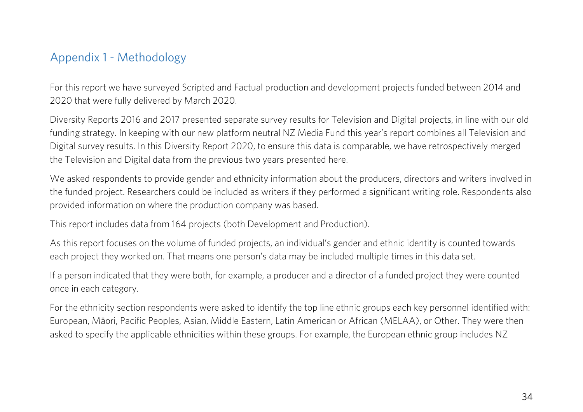### <span id="page-33-0"></span>Appendix 1 - Methodology

For this report we have surveyed Scripted and Factual production and development projects funded between 2014 and 2020 that were fully delivered by March 2020.

Diversity Reports 2016 and 2017 presented separate survey results for Television and Digital projects, in line with our old funding strategy. In keeping with our new platform neutral NZ Media Fund this year's report combines all Television and Digital survey results. In this Diversity Report 2020, to ensure this data is comparable, we have retrospectively merged the Television and Digital data from the previous two years presented here.

We asked respondents to provide gender and ethnicity information about the producers, directors and writers involved in the funded project. Researchers could be included as writers if they performed a significant writing role. Respondents also provided information on where the production company was based.

This report includes data from 164 projects (both Development and Production).

As this report focuses on the volume of funded projects, an individual's gender and ethnic identity is counted towards each project they worked on. That means one person's data may be included multiple times in this data set.

If a person indicated that they were both, for example, a producer and a director of a funded project they were counted once in each category.

For the ethnicity section respondents were asked to identify the top line ethnic groups each key personnel identified with: European, Māori, Pacific Peoples, Asian, Middle Eastern, Latin American or African (MELAA), or Other. They were then asked to specify the applicable ethnicities within these groups. For example, the European ethnic group includes NZ